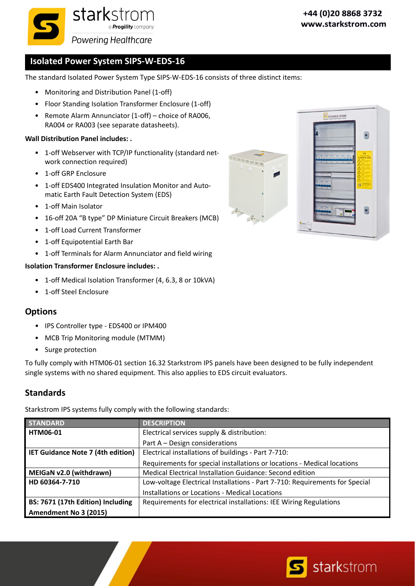

# **Isolated Power System SIPS‐W‐EDS‐16**

The standard Isolated Power System Type SIPS‐W‐EDS‐16 consists of three distinct items:

- Monitoring and Distribution Panel (1-off)
- Floor Standing Isolation Transformer Enclosure (1‐off)
- Remote Alarm Annunciator (1‐off) choice of RA006, RA004 or RA003 (see separate datasheets).

#### **Wall Distribution Panel includes: .**

- 1-off Webserver with TCP/IP functionality (standard network connection required)
- 1‐off GRP Enclosure
- 1‐off EDS400 Integrated Insulation Monitor and Auto‐ matic Earth Fault Detection System (EDS)
- 1‐off Main Isolator
- 16‐off 20A "B type" DP Miniature Circuit Breakers (MCB)
- 1-off Load Current Transformer
- 1‐off Equipotential Earth Bar
- 1-off Terminals for Alarm Annunciator and field wiring

#### **Isolation Transformer Enclosure includes: .**

- 1-off Medical Isolation Transformer (4, 6.3, 8 or 10kVA)
- 1‐off Steel Enclosure

#### **Options**

- IPS Controller type EDS400 or IPM400
- MCB Trip Monitoring module (MTMM)
- Surge protection

To fully comply with HTM06‐01 section 16.32 Starkstrom IPS panels have been designed to be fully independent single systems with no shared equipment. This also applies to EDS circuit evaluators.

#### **Standards**

Starkstrom IPS systems fully comply with the following standards:

| <b>STANDARD</b>                          | <b>DESCRIPTION</b>                                                          |  |  |
|------------------------------------------|-----------------------------------------------------------------------------|--|--|
| <b>HTM06-01</b>                          | Electrical services supply & distribution:                                  |  |  |
|                                          | Part A – Design considerations                                              |  |  |
| <b>IET Guidance Note 7 (4th edition)</b> | Electrical installations of buildings - Part 7-710:                         |  |  |
|                                          | Requirements for special installations or locations - Medical locations     |  |  |
| MEIGaN v2.0 (withdrawn)                  | Medical Electrical Installation Guidance: Second edition                    |  |  |
| HD 60364-7-710                           | Low-voltage Electrical Installations - Part 7-710: Requirements for Special |  |  |
|                                          | Installations or Locations - Medical Locations                              |  |  |
| BS: 7671 (17th Edition) Including        | Requirements for electrical installations: IEE Wiring Regulations           |  |  |
| Amendment No 3 (2015)                    |                                                                             |  |  |



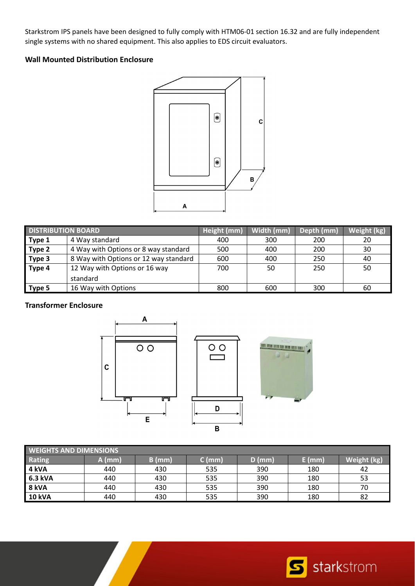Starkstrom IPS panels have been designed to fully comply with HTM06‐01 section 16.32 and are fully independent single systems with no shared equipment. This also applies to EDS circuit evaluators.

#### **Wall Mounted Distribution Enclosure**



| <b>DISTRIBUTION BOARD</b> |                                       | Height (mm) | Width (mm) | Depth (mm) | Weight (kg) |
|---------------------------|---------------------------------------|-------------|------------|------------|-------------|
| Type 1                    | 4 Way standard                        | 400         | 300        | 200        | 20          |
| Type 2                    | 4 Way with Options or 8 way standard  |             | 400        | 200        | 30          |
| Type 3                    | 8 Way with Options or 12 way standard | 600         | 400        | 250        | 40          |
| Type 4                    | 12 Way with Options or 16 way         | 700         | 50         | 250        | 50          |
|                           | standard                              |             |            |            |             |
| Type 5                    | 16 Way with Options                   | 800         | 600        | 300        | 60          |

### **Transformer Enclosure**



| <b>WEIGHTS AND DIMENSIONS</b> |          |          |        |          |          |             |
|-------------------------------|----------|----------|--------|----------|----------|-------------|
| Rating                        | $A$ (mm) | $B$ (mm) | C (mm) | $D$ (mm) | $E$ (mm) | Weight (kg) |
| $4$ kVA                       | 440      | 430      | 535    | 390      | 180      | 42          |
| 6.3 kVA                       | 440      | 430      | 535    | 390      | 180      | 53          |
| 8 kVA                         | 440      | 430      | 535    | 390      | 180      | 70          |
| <b>10 kVA</b>                 | 440      | 430      | 535    | 390      | 180      | 82          |

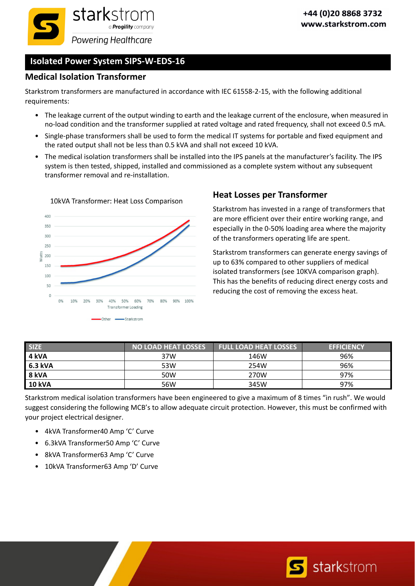

# **Isolated Power System SIPS‐W‐EDS‐16**

### **Medical Isolation Transformer**

Starkstrom transformers are manufactured in accordance with IEC 61558‐2‐15, with the following additional requirements:

- The leakage current of the output winding to earth and the leakage current of the enclosure, when measured in no‐load condition and the transformer supplied at rated voltage and rated frequency, shall not exceed 0.5 mA.
- Single‐phase transformers shall be used to form the medical IT systems for portable and fixed equipment and the rated output shall not be less than 0.5 kVA and shall not exceed 10 kVA.
- The medical isolation transformers shall be installed into the IPS panels at the manufacturer's facility. The IPS system is then tested, shipped, installed and commissioned as a complete system without any subsequent transformer removal and re‐installation.



#### 10kVA Transformer: Heat Loss Comparison

## **Heat Losses per Transformer**

Starkstrom has invested in a range of transformers that are more efficient over their entire working range, and especially in the 0‐50% loading area where the majority of the transformers operating life are spent.

Starkstrom transformers can generate energy savings of up to 63% compared to other suppliers of medical isolated transformers (see 10KVA comparison graph). This has the benefits of reducing direct energy costs and reducing the cost of removing the excess heat.

| <b>SIZE</b>   | <b>NO LOAD HEAT LOSSES</b> | <b>FULL LOAD HEAT LOSSES</b> | <b>EFFICIENCY</b> |
|---------------|----------------------------|------------------------------|-------------------|
| 4 kVA         | 37W                        | 146W                         | 96%               |
| 6.3 kVA       | 53W                        | 254W                         | 96%               |
| 8 kVA         | 50W                        | 270W                         | 97%               |
| <b>10 kVA</b> | 56W                        | 345W                         | 97%               |

Starkstrom medical isolation transformers have been engineered to give a maximum of 8 times "in rush". We would suggest considering the following MCB's to allow adequate circuit protection. However, this must be confirmed with your project electrical designer.

- 4kVA Transformer40 Amp 'C' Curve
- 6.3kVA Transformer50 Amp 'C' Curve
- 8kVA Transformer63 Amp 'C' Curve
- 10kVA Transformer63 Amp 'D' Curve